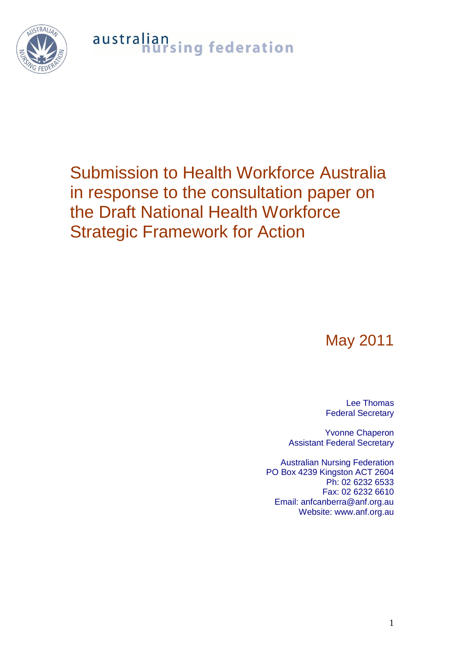$STRAI$ 

## australian<br>nursing federation

## Submission to Health Workforce Australia in response to the consultation paper on the Draft National Health Workforce Strategic Framework for Action

## May 2011

Lee Thomas Federal Secretary

Yvonne Chaperon Assistant Federal Secretary

Australian Nursing Federation PO Box 4239 Kingston ACT 2604 Ph: 02 6232 6533 Fax: 02 6232 6610 Email: anfcanberra@anf.org.au Website: www.anf.org.au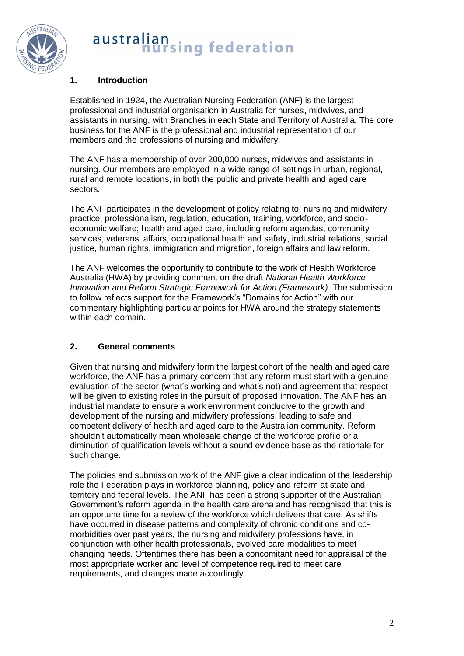

### **1. Introduction**

Established in 1924, the Australian Nursing Federation (ANF) is the largest professional and industrial organisation in Australia for nurses, midwives, and assistants in nursing, with Branches in each State and Territory of Australia. The core business for the ANF is the professional and industrial representation of our members and the professions of nursing and midwifery.

The ANF has a membership of over 200,000 nurses, midwives and assistants in nursing. Our members are employed in a wide range of settings in urban, regional, rural and remote locations, in both the public and private health and aged care sectors.

The ANF participates in the development of policy relating to: nursing and midwifery practice, professionalism, regulation, education, training, workforce, and socioeconomic welfare; health and aged care, including reform agendas, community services. veterans' affairs, occupational health and safety, industrial relations, social justice, human rights, immigration and migration, foreign affairs and law reform.

The ANF welcomes the opportunity to contribute to the work of Health Workforce Australia (HWA) by providing comment on the draft *National Health Workforce Innovation and Reform Strategic Framework for Action (Framework).* The submission to follow reflects support for the Framework"s "Domains for Action" with our commentary highlighting particular points for HWA around the strategy statements within each domain.

## **2. General comments**

Given that nursing and midwifery form the largest cohort of the health and aged care workforce, the ANF has a primary concern that any reform must start with a genuine evaluation of the sector (what"s working and what"s not) and agreement that respect will be given to existing roles in the pursuit of proposed innovation. The ANF has an industrial mandate to ensure a work environment conducive to the growth and development of the nursing and midwifery professions, leading to safe and competent delivery of health and aged care to the Australian community. Reform shouldn"t automatically mean wholesale change of the workforce profile or a diminution of qualification levels without a sound evidence base as the rationale for such change.

The policies and submission work of the ANF give a clear indication of the leadership role the Federation plays in workforce planning, policy and reform at state and territory and federal levels. The ANF has been a strong supporter of the Australian Government"s reform agenda in the health care arena and has recognised that this is an opportune time for a review of the workforce which delivers that care. As shifts have occurred in disease patterns and complexity of chronic conditions and comorbidities over past years, the nursing and midwifery professions have, in conjunction with other health professionals, evolved care modalities to meet changing needs. Oftentimes there has been a concomitant need for appraisal of the most appropriate worker and level of competence required to meet care requirements, and changes made accordingly.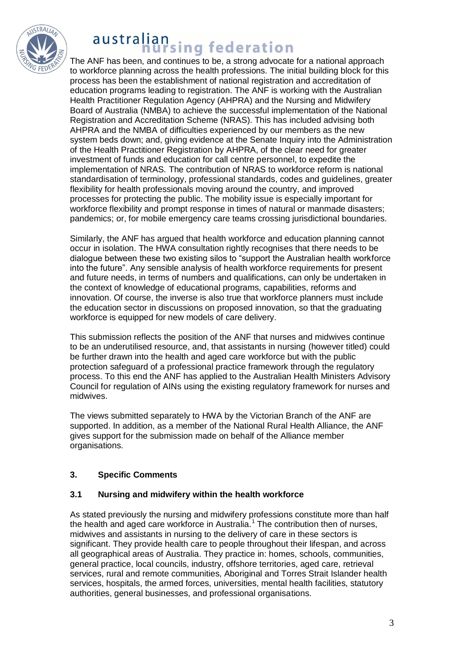

The ANF has been, and continues to be, a strong advocate for a national approach to workforce planning across the health professions. The initial building block for this process has been the establishment of national registration and accreditation of education programs leading to registration. The ANF is working with the Australian Health Practitioner Regulation Agency (AHPRA) and the Nursing and Midwifery Board of Australia (NMBA) to achieve the successful implementation of the National Registration and Accreditation Scheme (NRAS). This has included advising both AHPRA and the NMBA of difficulties experienced by our members as the new system beds down; and, giving evidence at the Senate Inquiry into the Administration of the Health Practitioner Registration by AHPRA, of the clear need for greater investment of funds and education for call centre personnel, to expedite the implementation of NRAS. The contribution of NRAS to workforce reform is national standardisation of terminology, professional standards, codes and guidelines, greater flexibility for health professionals moving around the country, and improved processes for protecting the public. The mobility issue is especially important for workforce flexibility and prompt response in times of natural or manmade disasters; pandemics; or, for mobile emergency care teams crossing jurisdictional boundaries.

Similarly, the ANF has argued that health workforce and education planning cannot occur in isolation. The HWA consultation rightly recognises that there needs to be dialogue between these two existing silos to "support the Australian health workforce into the future". Any sensible analysis of health workforce requirements for present and future needs, in terms of numbers and qualifications, can only be undertaken in the context of knowledge of educational programs, capabilities, reforms and innovation. Of course, the inverse is also true that workforce planners must include the education sector in discussions on proposed innovation, so that the graduating workforce is equipped for new models of care delivery.

This submission reflects the position of the ANF that nurses and midwives continue to be an underutilised resource, and, that assistants in nursing (however titled) could be further drawn into the health and aged care workforce but with the public protection safeguard of a professional practice framework through the regulatory process. To this end the ANF has applied to the Australian Health Ministers Advisory Council for regulation of AINs using the existing regulatory framework for nurses and midwives.

The views submitted separately to HWA by the Victorian Branch of the ANF are supported. In addition, as a member of the National Rural Health Alliance, the ANF gives support for the submission made on behalf of the Alliance member organisations.

## **3. Specific Comments**

## **3.1 Nursing and midwifery within the health workforce**

As stated previously the nursing and midwifery professions constitute more than half the health and aged care workforce in Australia.<sup>1</sup> The contribution then of nurses, midwives and assistants in nursing to the delivery of care in these sectors is significant. They provide health care to people throughout their lifespan, and across all geographical areas of Australia. They practice in: homes, schools, communities, general practice, local councils, industry, offshore territories, aged care, retrieval services, rural and remote communities, Aboriginal and Torres Strait Islander health services, hospitals, the armed forces, universities, mental health facilities, statutory authorities, general businesses, and professional organisations.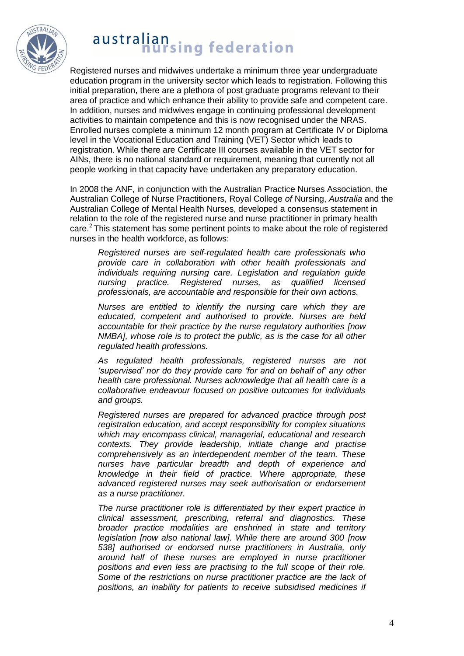

Registered nurses and midwives undertake a minimum three year undergraduate education program in the university sector which leads to registration. Following this initial preparation, there are a plethora of post graduate programs relevant to their area of practice and which enhance their ability to provide safe and competent care. In addition, nurses and midwives engage in continuing professional development activities to maintain competence and this is now recognised under the NRAS. Enrolled nurses complete a minimum 12 month program at Certificate IV or Diploma level in the Vocational Education and Training (VET) Sector which leads to registration. While there are Certificate III courses available in the VET sector for AINs, there is no national standard or requirement, meaning that currently not all people working in that capacity have undertaken any preparatory education.

In 2008 the ANF, in conjunction with the Australian Practice Nurses Association, the Australian College of Nurse Practitioners, Royal College *of* Nursing, *Australia* and the Australian College of Mental Health Nurses, developed a consensus statement in relation to the role of the registered nurse and nurse practitioner in primary health care.<sup>2</sup>This statement has some pertinent points to make about the role of registered nurses in the health workforce, as follows:

*Registered nurses are self-regulated health care professionals who provide care in collaboration with other health professionals and individuals requiring nursing care. Legislation and regulation guide nursing practice. Registered nurses, as qualified licensed professionals, are accountable and responsible for their own actions.* 

*Nurses are entitled to identify the nursing care which they are educated, competent and authorised to provide. Nurses are held accountable for their practice by the nurse regulatory authorities [now NMBA], whose role is to protect the public, as is the case for all other regulated health professions.* 

*As regulated health professionals, registered nurses are not 'supervised' nor do they provide care 'for and on behalf of' any other health care professional. Nurses acknowledge that all health care is a collaborative endeavour focused on positive outcomes for individuals and groups.* 

*Registered nurses are prepared for advanced practice through post registration education, and accept responsibility for complex situations which may encompass clinical, managerial, educational and research contexts. They provide leadership, initiate change and practise comprehensively as an interdependent member of the team. These nurses have particular breadth and depth of experience and knowledge in their field of practice. Where appropriate, these advanced registered nurses may seek authorisation or endorsement as a nurse practitioner.*

*The nurse practitioner role is differentiated by their expert practice in clinical assessment, prescribing, referral and diagnostics. These broader practice modalities are enshrined in state and territory legislation [now also national law]. While there are around 300 [now 538] authorised or endorsed nurse practitioners in Australia, only around half of these nurses are employed in nurse practitioner positions and even less are practising to the full scope of their role. Some of the restrictions on nurse practitioner practice are the lack of positions, an inability for patients to receive subsidised medicines if*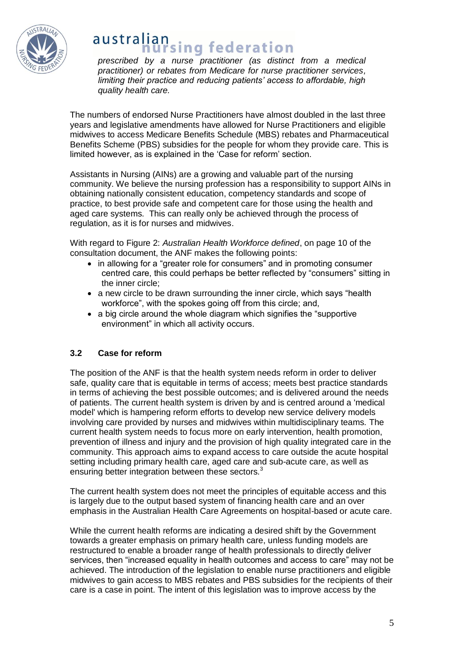

# *prescribed by a nurse practitioner (as distinct from a medical*

*practitioner) or rebates from Medicare for nurse practitioner services, limiting their practice and reducing patients' access to affordable, high quality health care.*

The numbers of endorsed Nurse Practitioners have almost doubled in the last three years and legislative amendments have allowed for Nurse Practitioners and eligible midwives to access Medicare Benefits Schedule (MBS) rebates and Pharmaceutical Benefits Scheme (PBS) subsidies for the people for whom they provide care. This is limited however, as is explained in the "Case for reform" section.

Assistants in Nursing (AINs) are a growing and valuable part of the nursing community. We believe the nursing profession has a responsibility to support AINs in obtaining nationally consistent education, competency standards and scope of practice, to best provide safe and competent care for those using the health and aged care systems. This can really only be achieved through the process of regulation, as it is for nurses and midwives.

With regard to Figure 2: *Australian Health Workforce defined*, on page 10 of the consultation document, the ANF makes the following points:

- in allowing for a "greater role for consumers" and in promoting consumer centred care, this could perhaps be better reflected by "consumers" sitting in the inner circle;
- a new circle to be drawn surrounding the inner circle, which says "health workforce", with the spokes going off from this circle; and,
- a big circle around the whole diagram which signifies the "supportive" environment" in which all activity occurs.

## **3.2 Case for reform**

The position of the ANF is that the health system needs reform in order to deliver safe, quality care that is equitable in terms of access; meets best practice standards in terms of achieving the best possible outcomes; and is delivered around the needs of patients. The current health system is driven by and is centred around a 'medical model' which is hampering reform efforts to develop new service delivery models involving care provided by nurses and midwives within multidisciplinary teams. The current health system needs to focus more on early intervention, health promotion, prevention of illness and injury and the provision of high quality integrated care in the community. This approach aims to expand access to care outside the acute hospital setting including primary health care, aged care and sub-acute care, as well as ensuring better integration between these sectors.<sup>3</sup>

The current health system does not meet the principles of equitable access and this is largely due to the output based system of financing health care and an over emphasis in the Australian Health Care Agreements on hospital-based or acute care.

While the current health reforms are indicating a desired shift by the Government towards a greater emphasis on primary health care, unless funding models are restructured to enable a broader range of health professionals to directly deliver services, then "increased equality in health outcomes and access to care" may not be achieved. The introduction of the legislation to enable nurse practitioners and eligible midwives to gain access to MBS rebates and PBS subsidies for the recipients of their care is a case in point. The intent of this legislation was to improve access by the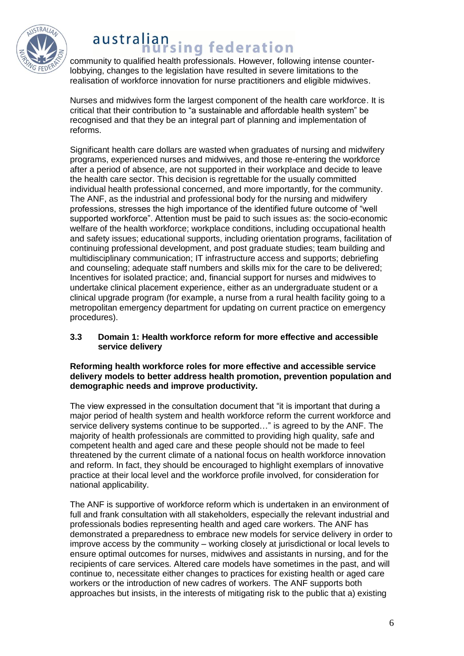

## australian **Hallsing federation**

community to qualified health professionals. However, following intense counterlobbying, changes to the legislation have resulted in severe limitations to the realisation of workforce innovation for nurse practitioners and eligible midwives.

Nurses and midwives form the largest component of the health care workforce. It is critical that their contribution to "a sustainable and affordable health system" be recognised and that they be an integral part of planning and implementation of reforms.

Significant health care dollars are wasted when graduates of nursing and midwifery programs, experienced nurses and midwives, and those re-entering the workforce after a period of absence, are not supported in their workplace and decide to leave the health care sector. This decision is regrettable for the usually committed individual health professional concerned, and more importantly, for the community. The ANF, as the industrial and professional body for the nursing and midwifery professions, stresses the high importance of the identified future outcome of "well supported workforce". Attention must be paid to such issues as: the socio-economic welfare of the health workforce; workplace conditions, including occupational health and safety issues; educational supports, including orientation programs, facilitation of continuing professional development, and post graduate studies; team building and multidisciplinary communication; IT infrastructure access and supports; debriefing and counseling; adequate staff numbers and skills mix for the care to be delivered; Incentives for isolated practice; and, financial support for nurses and midwives to undertake clinical placement experience, either as an undergraduate student or a clinical upgrade program (for example, a nurse from a rural health facility going to a metropolitan emergency department for updating on current practice on emergency procedures).

### **3.3 Domain 1: Health workforce reform for more effective and accessible service delivery**

#### **Reforming health workforce roles for more effective and accessible service delivery models to better address health promotion, prevention population and demographic needs and improve productivity.**

The view expressed in the consultation document that "it is important that during a major period of health system and health workforce reform the current workforce and service delivery systems continue to be supported…" is agreed to by the ANF. The majority of health professionals are committed to providing high quality, safe and competent health and aged care and these people should not be made to feel threatened by the current climate of a national focus on health workforce innovation and reform. In fact, they should be encouraged to highlight exemplars of innovative practice at their local level and the workforce profile involved, for consideration for national applicability.

The ANF is supportive of workforce reform which is undertaken in an environment of full and frank consultation with all stakeholders, especially the relevant industrial and professionals bodies representing health and aged care workers. The ANF has demonstrated a preparedness to embrace new models for service delivery in order to improve access by the community – working closely at jurisdictional or local levels to ensure optimal outcomes for nurses, midwives and assistants in nursing, and for the recipients of care services. Altered care models have sometimes in the past, and will continue to, necessitate either changes to practices for existing health or aged care workers or the introduction of new cadres of workers. The ANF supports both approaches but insists, in the interests of mitigating risk to the public that a) existing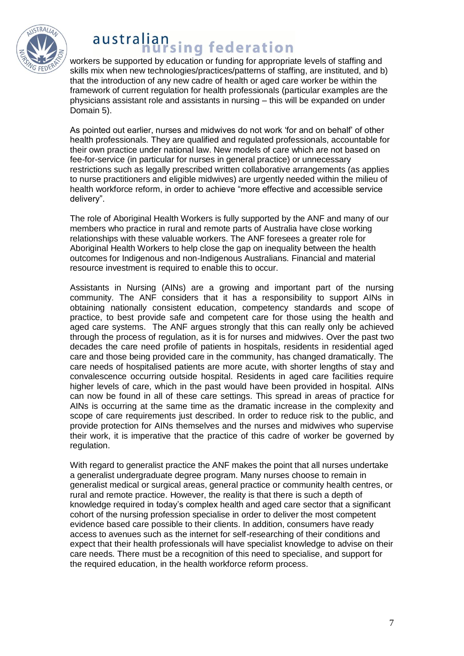

## australian **Hallsing federation**

workers be supported by education or funding for appropriate levels of staffing and skills mix when new technologies/practices/patterns of staffing, are instituted, and b) that the introduction of any new cadre of health or aged care worker be within the framework of current regulation for health professionals (particular examples are the physicians assistant role and assistants in nursing – this will be expanded on under Domain 5).

As pointed out earlier, nurses and midwives do not work "for and on behalf" of other health professionals. They are qualified and regulated professionals, accountable for their own practice under national law. New models of care which are not based on fee-for-service (in particular for nurses in general practice) or unnecessary restrictions such as legally prescribed written collaborative arrangements (as applies to nurse practitioners and eligible midwives) are urgently needed within the milieu of health workforce reform, in order to achieve "more effective and accessible service delivery".

The role of Aboriginal Health Workers is fully supported by the ANF and many of our members who practice in rural and remote parts of Australia have close working relationships with these valuable workers. The ANF foresees a greater role for Aboriginal Health Workers to help close the gap on inequality between the health outcomes for Indigenous and non-Indigenous Australians. Financial and material resource investment is required to enable this to occur.

Assistants in Nursing (AINs) are a growing and important part of the nursing community. The ANF considers that it has a responsibility to support AINs in obtaining nationally consistent education, competency standards and scope of practice, to best provide safe and competent care for those using the health and aged care systems. The ANF argues strongly that this can really only be achieved through the process of regulation, as it is for nurses and midwives. Over the past two decades the care need profile of patients in hospitals, residents in residential aged care and those being provided care in the community, has changed dramatically. The care needs of hospitalised patients are more acute, with shorter lengths of stay and convalescence occurring outside hospital. Residents in aged care facilities require higher levels of care, which in the past would have been provided in hospital. AINs can now be found in all of these care settings. This spread in areas of practice for AINs is occurring at the same time as the dramatic increase in the complexity and scope of care requirements just described. In order to reduce risk to the public, and provide protection for AINs themselves and the nurses and midwives who supervise their work, it is imperative that the practice of this cadre of worker be governed by regulation.

With regard to generalist practice the ANF makes the point that all nurses undertake a generalist undergraduate degree program. Many nurses choose to remain in generalist medical or surgical areas, general practice or community health centres, or rural and remote practice. However, the reality is that there is such a depth of knowledge required in today"s complex health and aged care sector that a significant cohort of the nursing profession specialise in order to deliver the most competent evidence based care possible to their clients. In addition, consumers have ready access to avenues such as the internet for self-researching of their conditions and expect that their health professionals will have specialist knowledge to advise on their care needs. There must be a recognition of this need to specialise, and support for the required education, in the health workforce reform process.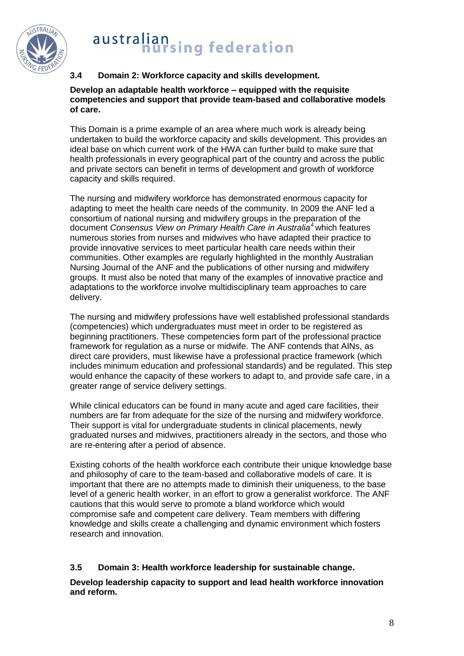

## **3.4 Domain 2: Workforce capacity and skills development.**

**Develop an adaptable health workforce – equipped with the requisite competencies and support that provide team-based and collaborative models of care.**

This Domain is a prime example of an area where much work is already being undertaken to build the workforce capacity and skills development. This provides an ideal base on which current work of the HWA can further build to make sure that health professionals in every geographical part of the country and across the public and private sectors can benefit in terms of development and growth of workforce capacity and skills required.

The nursing and midwifery workforce has demonstrated enormous capacity for adapting to meet the health care needs of the community. In 2009 the ANF led a consortium of national nursing and midwifery groups in the preparation of the document *Consensus View on Primary Health Care in Australia*<sup>4</sup> which features numerous stories from nurses and midwives who have adapted their practice to provide innovative services to meet particular health care needs within their communities. Other examples are regularly highlighted in the monthly Australian Nursing Journal of the ANF and the publications of other nursing and midwifery groups. It must also be noted that many of the examples of innovative practice and adaptations to the workforce involve multidisciplinary team approaches to care delivery.

The nursing and midwifery professions have well established professional standards (competencies) which undergraduates must meet in order to be registered as beginning practitioners. These competencies form part of the professional practice framework for regulation as a nurse or midwife. The ANF contends that AINs, as direct care providers, must likewise have a professional practice framework (which includes minimum education and professional standards) and be regulated. This step would enhance the capacity of these workers to adapt to, and provide safe care, in a greater range of service delivery settings.

While clinical educators can be found in many acute and aged care facilities, their numbers are far from adequate for the size of the nursing and midwifery workforce. Their support is vital for undergraduate students in clinical placements, newly graduated nurses and midwives, practitioners already in the sectors, and those who are re-entering after a period of absence.

Existing cohorts of the health workforce each contribute their unique knowledge base and philosophy of care to the team-based and collaborative models of care. It is important that there are no attempts made to diminish their uniqueness, to the base level of a generic health worker, in an effort to grow a generalist workforce. The ANF cautions that this would serve to promote a bland workforce which would compromise safe and competent care delivery. Team members with differing knowledge and skills create a challenging and dynamic environment which fosters research and innovation.

## **3.5 Domain 3: Health workforce leadership for sustainable change.**

**Develop leadership capacity to support and lead health workforce innovation and reform.**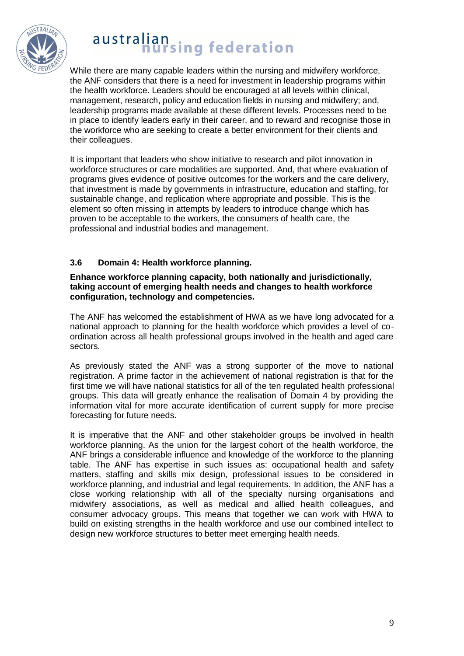

While there are many capable leaders within the nursing and midwifery workforce, the ANF considers that there is a need for investment in leadership programs within the health workforce. Leaders should be encouraged at all levels within clinical, management, research, policy and education fields in nursing and midwifery; and, leadership programs made available at these different levels. Processes need to be in place to identify leaders early in their career, and to reward and recognise those in the workforce who are seeking to create a better environment for their clients and their colleagues.

It is important that leaders who show initiative to research and pilot innovation in workforce structures or care modalities are supported. And, that where evaluation of programs gives evidence of positive outcomes for the workers and the care delivery, that investment is made by governments in infrastructure, education and staffing, for sustainable change, and replication where appropriate and possible. This is the element so often missing in attempts by leaders to introduce change which has proven to be acceptable to the workers, the consumers of health care, the professional and industrial bodies and management.

## **3.6 Domain 4: Health workforce planning.**

#### **Enhance workforce planning capacity, both nationally and jurisdictionally, taking account of emerging health needs and changes to health workforce configuration, technology and competencies.**

The ANF has welcomed the establishment of HWA as we have long advocated for a national approach to planning for the health workforce which provides a level of coordination across all health professional groups involved in the health and aged care sectors.

As previously stated the ANF was a strong supporter of the move to national registration. A prime factor in the achievement of national registration is that for the first time we will have national statistics for all of the ten regulated health professional groups. This data will greatly enhance the realisation of Domain 4 by providing the information vital for more accurate identification of current supply for more precise forecasting for future needs.

It is imperative that the ANF and other stakeholder groups be involved in health workforce planning. As the union for the largest cohort of the health workforce, the ANF brings a considerable influence and knowledge of the workforce to the planning table. The ANF has expertise in such issues as: occupational health and safety matters, staffing and skills mix design, professional issues to be considered in workforce planning, and industrial and legal requirements. In addition, the ANF has a close working relationship with all of the specialty nursing organisations and midwifery associations, as well as medical and allied health colleagues, and consumer advocacy groups. This means that together we can work with HWA to build on existing strengths in the health workforce and use our combined intellect to design new workforce structures to better meet emerging health needs.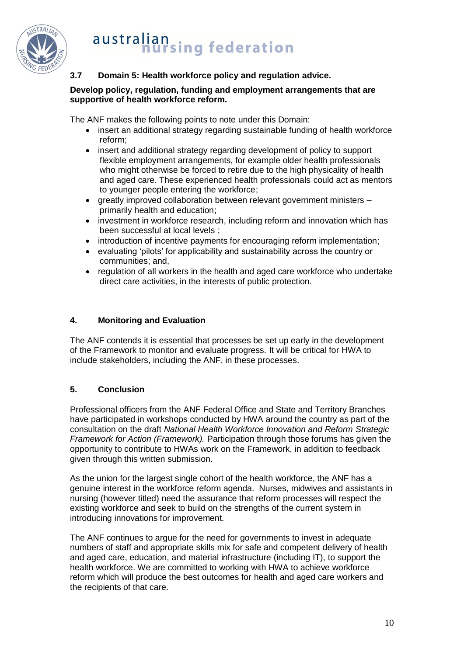

## **3.7 Domain 5: Health workforce policy and regulation advice.**

### **Develop policy, regulation, funding and employment arrangements that are supportive of health workforce reform.**

The ANF makes the following points to note under this Domain:

- insert an additional strategy regarding sustainable funding of health workforce reform;
- insert and additional strategy regarding development of policy to support flexible employment arrangements, for example older health professionals who might otherwise be forced to retire due to the high physicality of health and aged care. These experienced health professionals could act as mentors to younger people entering the workforce;
- greatly improved collaboration between relevant government ministers primarily health and education;
- investment in workforce research, including reform and innovation which has been successful at local levels ;
- introduction of incentive payments for encouraging reform implementation;
- evaluating "pilots" for applicability and sustainability across the country or communities; and,
- regulation of all workers in the health and aged care workforce who undertake direct care activities, in the interests of public protection.

## **4. Monitoring and Evaluation**

The ANF contends it is essential that processes be set up early in the development of the Framework to monitor and evaluate progress. It will be critical for HWA to include stakeholders, including the ANF, in these processes.

## **5. Conclusion**

Professional officers from the ANF Federal Office and State and Territory Branches have participated in workshops conducted by HWA around the country as part of the consultation on the draft *National Health Workforce Innovation and Reform Strategic Framework for Action (Framework).* Participation through those forums has given the opportunity to contribute to HWAs work on the Framework, in addition to feedback given through this written submission.

As the union for the largest single cohort of the health workforce, the ANF has a genuine interest in the workforce reform agenda. Nurses, midwives and assistants in nursing (however titled) need the assurance that reform processes will respect the existing workforce and seek to build on the strengths of the current system in introducing innovations for improvement.

The ANF continues to argue for the need for governments to invest in adequate numbers of staff and appropriate skills mix for safe and competent delivery of health and aged care, education, and material infrastructure (including IT), to support the health workforce. We are committed to working with HWA to achieve workforce reform which will produce the best outcomes for health and aged care workers and the recipients of that care.